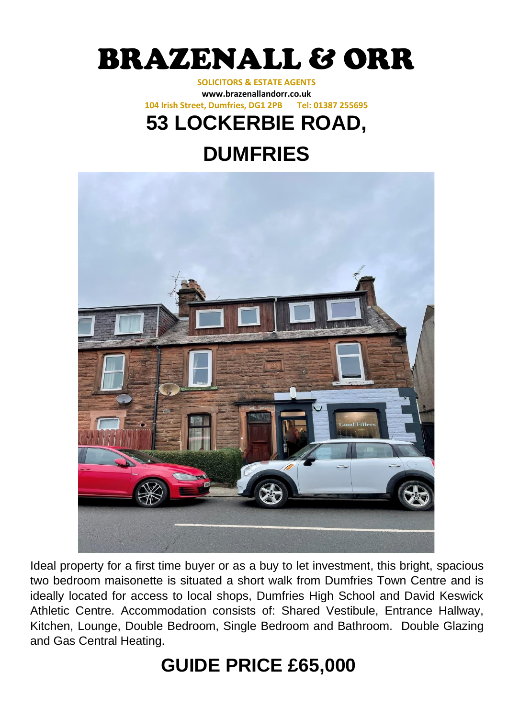

## **SOLICITORS & ESTATE AGENTS www.brazenallandorr.co.uk 104 Irish Street, Dumfries, DG1 2PB Tel: 01387 255695**

## **53 LOCKERBIE ROAD,**

## **DUMFRIES**



Ideal property for a first time buyer or as a buy to let investment, this bright, spacious two bedroom maisonette is situated a short walk from Dumfries Town Centre and is ideally located for access to local shops, Dumfries High School and David Keswick Athletic Centre. Accommodation consists of: Shared Vestibule, Entrance Hallway, Kitchen, Lounge, Double Bedroom, Single Bedroom and Bathroom. Double Glazing and Gas Central Heating.

# **GUIDE PRICE £65,000**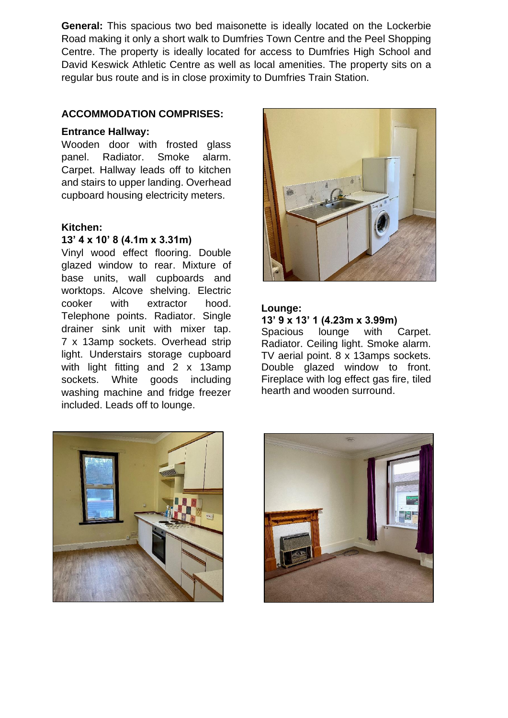**General:** This spacious two bed maisonette is ideally located on the Lockerbie Road making it only a short walk to Dumfries Town Centre and the Peel Shopping Centre. The property is ideally located for access to Dumfries High School and David Keswick Athletic Centre as well as local amenities. The property sits on a regular bus route and is in close proximity to Dumfries Train Station.

## **ACCOMMODATION COMPRISES:**

#### **Entrance Hallway:**

Wooden door with frosted glass panel. Radiator. Smoke alarm. Carpet. Hallway leads off to kitchen and stairs to upper landing. Overhead cupboard housing electricity meters.

#### **Kitchen:**

## **13' 4 x 10' 8 (4.1m x 3.31m)**

Vinyl wood effect flooring. Double glazed window to rear. Mixture of base units, wall cupboards and worktops. Alcove shelving. Electric cooker with extractor hood. Telephone points. Radiator. Single drainer sink unit with mixer tap. 7 x 13amp sockets. Overhead strip light. Understairs storage cupboard with light fitting and 2 x 13amp sockets. White goods including washing machine and fridge freezer included. Leads off to lounge.



#### **Lounge:**

#### **13' 9 x 13' 1 (4.23m x 3.99m)**

Spacious lounge with Carpet. Radiator. Ceiling light. Smoke alarm. TV aerial point. 8 x 13amps sockets. Double glazed window to front. Fireplace with log effect gas fire, tiled hearth and wooden surround.



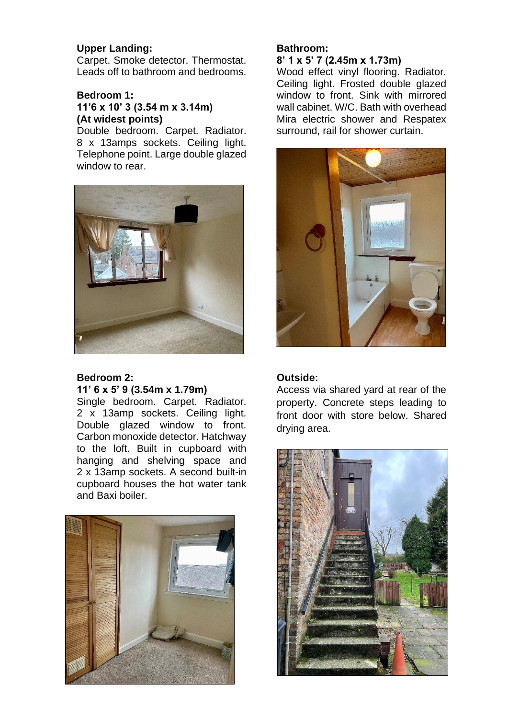## **Upper Landing:**

Carpet. Smoke detector. Thermostat. Leads off to bathroom and bedrooms.

## **Bedroom 1: 11'6 x 10' 3 (3.54 m x 3.14m) (At widest points)**

Double bedroom. Carpet. Radiator. 8 x 13amps sockets. Ceiling light. Telephone point. Large double glazed window to rear.



## **Bedroom 2: 11' 6 x 5' 9 (3.54m x 1.79m)**

Single bedroom. Carpet. Radiator. 2 x 13amp sockets. Ceiling light. Double glazed window to front. Carbon monoxide detector. Hatchway to the loft. Built in cupboard with hanging and shelving space and 2 x 13amp sockets. A second built-in cupboard houses the hot water tank and Baxi boiler.



## **Bathroom:**

**8' 1 x 5' 7 (2.45m x 1.73m)** 

Wood effect vinyl flooring. Radiator. Ceiling light. Frosted double glazed window to front. Sink with mirrored wall cabinet. W/C. Bath with overhead Mira electric shower and Respatex surround, rail for shower curtain.



## **Outside:**

Access via shared yard at rear of the property. Concrete steps leading to front door with store below. Shared drying area.